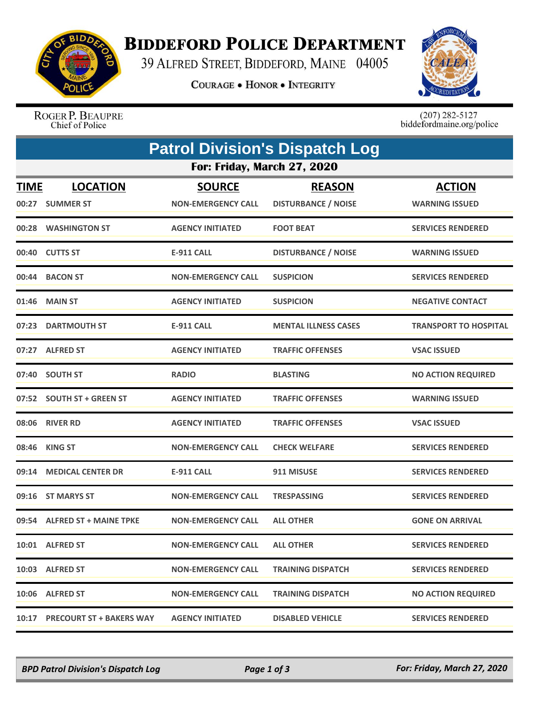

## **BIDDEFORD POLICE DEPARTMENT**

39 ALFRED STREET, BIDDEFORD, MAINE 04005

**COURAGE . HONOR . INTEGRITY** 



ROGER P. BEAUPRE<br>Chief of Police

 $(207)$  282-5127<br>biddefordmaine.org/police

|                             |                                |                           | <b>Patrol Division's Dispatch Log</b> |                              |  |  |  |
|-----------------------------|--------------------------------|---------------------------|---------------------------------------|------------------------------|--|--|--|
| For: Friday, March 27, 2020 |                                |                           |                                       |                              |  |  |  |
| <b>TIME</b>                 | <b>LOCATION</b>                | <b>SOURCE</b>             | <b>REASON</b>                         | <b>ACTION</b>                |  |  |  |
|                             | 00:27 SUMMER ST                | <b>NON-EMERGENCY CALL</b> | <b>DISTURBANCE / NOISE</b>            | <b>WARNING ISSUED</b>        |  |  |  |
|                             | 00:28 WASHINGTON ST            | <b>AGENCY INITIATED</b>   | <b>FOOT BEAT</b>                      | <b>SERVICES RENDERED</b>     |  |  |  |
|                             | 00:40 CUTTS ST                 | <b>E-911 CALL</b>         | <b>DISTURBANCE / NOISE</b>            | <b>WARNING ISSUED</b>        |  |  |  |
|                             | 00:44 BACON ST                 | <b>NON-EMERGENCY CALL</b> | <b>SUSPICION</b>                      | <b>SERVICES RENDERED</b>     |  |  |  |
|                             | 01:46 MAIN ST                  | <b>AGENCY INITIATED</b>   | <b>SUSPICION</b>                      | <b>NEGATIVE CONTACT</b>      |  |  |  |
|                             | 07:23 DARTMOUTH ST             | <b>E-911 CALL</b>         | <b>MENTAL ILLNESS CASES</b>           | <b>TRANSPORT TO HOSPITAL</b> |  |  |  |
|                             | 07:27 ALFRED ST                | <b>AGENCY INITIATED</b>   | <b>TRAFFIC OFFENSES</b>               | <b>VSAC ISSUED</b>           |  |  |  |
|                             | 07:40 SOUTH ST                 | <b>RADIO</b>              | <b>BLASTING</b>                       | <b>NO ACTION REQUIRED</b>    |  |  |  |
|                             | 07:52 SOUTH ST + GREEN ST      | <b>AGENCY INITIATED</b>   | <b>TRAFFIC OFFENSES</b>               | <b>WARNING ISSUED</b>        |  |  |  |
|                             | 08:06 RIVER RD                 | <b>AGENCY INITIATED</b>   | <b>TRAFFIC OFFENSES</b>               | <b>VSAC ISSUED</b>           |  |  |  |
|                             | 08:46 KING ST                  | <b>NON-EMERGENCY CALL</b> | <b>CHECK WELFARE</b>                  | <b>SERVICES RENDERED</b>     |  |  |  |
|                             | 09:14 MEDICAL CENTER DR        | <b>E-911 CALL</b>         | 911 MISUSE                            | <b>SERVICES RENDERED</b>     |  |  |  |
|                             | 09:16 ST MARYS ST              | <b>NON-EMERGENCY CALL</b> | <b>TRESPASSING</b>                    | <b>SERVICES RENDERED</b>     |  |  |  |
|                             | 09:54 ALFRED ST + MAINE TPKE   | <b>NON-EMERGENCY CALL</b> | <b>ALL OTHER</b>                      | <b>GONE ON ARRIVAL</b>       |  |  |  |
|                             | 10:01 ALFRED ST                | <b>NON-EMERGENCY CALL</b> | <b>ALL OTHER</b>                      | <b>SERVICES RENDERED</b>     |  |  |  |
|                             | 10:03 ALFRED ST                | <b>NON-EMERGENCY CALL</b> | <b>TRAINING DISPATCH</b>              | <b>SERVICES RENDERED</b>     |  |  |  |
|                             | 10:06 ALFRED ST                | <b>NON-EMERGENCY CALL</b> | <b>TRAINING DISPATCH</b>              | <b>NO ACTION REQUIRED</b>    |  |  |  |
|                             | 10:17 PRECOURT ST + BAKERS WAY | <b>AGENCY INITIATED</b>   | <b>DISABLED VEHICLE</b>               | <b>SERVICES RENDERED</b>     |  |  |  |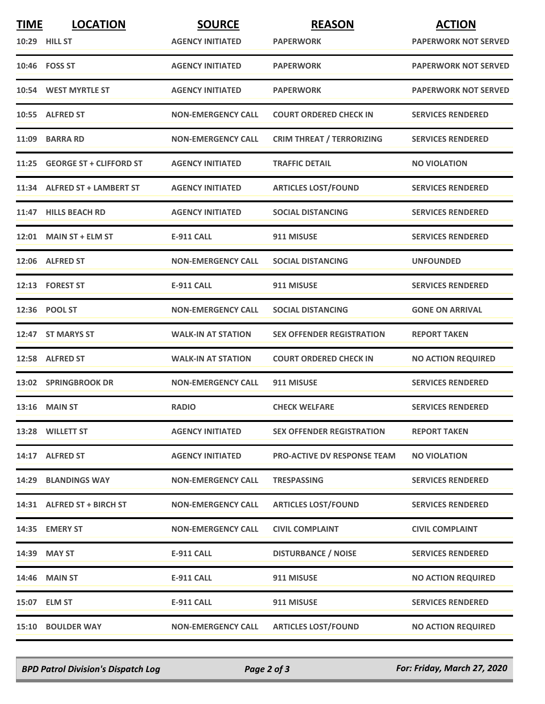| <b>TIME</b> | <b>LOCATION</b>                | <b>SOURCE</b>             | <b>REASON</b>                      | <b>ACTION</b>               |
|-------------|--------------------------------|---------------------------|------------------------------------|-----------------------------|
|             | <b>10:29 HILL ST</b>           | <b>AGENCY INITIATED</b>   | <b>PAPERWORK</b>                   | <b>PAPERWORK NOT SERVED</b> |
|             | 10:46 FOSS ST                  | <b>AGENCY INITIATED</b>   | <b>PAPERWORK</b>                   | <b>PAPERWORK NOT SERVED</b> |
|             | 10:54 WEST MYRTLE ST           | <b>AGENCY INITIATED</b>   | <b>PAPERWORK</b>                   | <b>PAPERWORK NOT SERVED</b> |
|             | 10:55 ALFRED ST                | <b>NON-EMERGENCY CALL</b> | <b>COURT ORDERED CHECK IN</b>      | <b>SERVICES RENDERED</b>    |
| 11:09       | <b>BARRA RD</b>                | <b>NON-EMERGENCY CALL</b> | <b>CRIM THREAT / TERRORIZING</b>   | <b>SERVICES RENDERED</b>    |
| 11:25       | <b>GEORGE ST + CLIFFORD ST</b> | <b>AGENCY INITIATED</b>   | <b>TRAFFIC DETAIL</b>              | <b>NO VIOLATION</b>         |
|             | 11:34 ALFRED ST + LAMBERT ST   | <b>AGENCY INITIATED</b>   | <b>ARTICLES LOST/FOUND</b>         | <b>SERVICES RENDERED</b>    |
|             | 11:47 HILLS BEACH RD           | <b>AGENCY INITIATED</b>   | <b>SOCIAL DISTANCING</b>           | <b>SERVICES RENDERED</b>    |
|             | 12:01 MAIN ST + ELM ST         | <b>E-911 CALL</b>         | 911 MISUSE                         | <b>SERVICES RENDERED</b>    |
|             | 12:06 ALFRED ST                | <b>NON-EMERGENCY CALL</b> | <b>SOCIAL DISTANCING</b>           | <b>UNFOUNDED</b>            |
|             | 12:13 FOREST ST                | <b>E-911 CALL</b>         | 911 MISUSE                         | <b>SERVICES RENDERED</b>    |
|             | 12:36 POOL ST                  | <b>NON-EMERGENCY CALL</b> | <b>SOCIAL DISTANCING</b>           | <b>GONE ON ARRIVAL</b>      |
|             | 12:47 ST MARYS ST              | <b>WALK-IN AT STATION</b> | <b>SEX OFFENDER REGISTRATION</b>   | <b>REPORT TAKEN</b>         |
|             | 12:58 ALFRED ST                | <b>WALK-IN AT STATION</b> | <b>COURT ORDERED CHECK IN</b>      | <b>NO ACTION REQUIRED</b>   |
|             | 13:02 SPRINGBROOK DR           | <b>NON-EMERGENCY CALL</b> | 911 MISUSE                         | <b>SERVICES RENDERED</b>    |
|             | 13:16 MAIN ST                  | <b>RADIO</b>              | <b>CHECK WELFARE</b>               | <b>SERVICES RENDERED</b>    |
|             | 13:28 WILLETT ST               | <b>AGENCY INITIATED</b>   | <b>SEX OFFENDER REGISTRATION</b>   | <b>REPORT TAKEN</b>         |
|             | 14:17 ALFRED ST                | <b>AGENCY INITIATED</b>   | <b>PRO-ACTIVE DV RESPONSE TEAM</b> | <b>NO VIOLATION</b>         |
| 14:29       | <b>BLANDINGS WAY</b>           | <b>NON-EMERGENCY CALL</b> | <b>TRESPASSING</b>                 | <b>SERVICES RENDERED</b>    |
|             | 14:31 ALFRED ST + BIRCH ST     | <b>NON-EMERGENCY CALL</b> | <b>ARTICLES LOST/FOUND</b>         | <b>SERVICES RENDERED</b>    |
|             | 14:35 EMERY ST                 | <b>NON-EMERGENCY CALL</b> | <b>CIVIL COMPLAINT</b>             | <b>CIVIL COMPLAINT</b>      |
|             | 14:39 MAY ST                   | <b>E-911 CALL</b>         | <b>DISTURBANCE / NOISE</b>         | <b>SERVICES RENDERED</b>    |
|             | 14:46 MAIN ST                  | <b>E-911 CALL</b>         | 911 MISUSE                         | <b>NO ACTION REQUIRED</b>   |
|             | 15:07 ELM ST                   | <b>E-911 CALL</b>         | 911 MISUSE                         | <b>SERVICES RENDERED</b>    |
|             | 15:10 BOULDER WAY              | <b>NON-EMERGENCY CALL</b> | <b>ARTICLES LOST/FOUND</b>         | <b>NO ACTION REQUIRED</b>   |

*BPD Patrol Division's Dispatch Log Page 2 of 3 For: Friday, March 27, 2020*